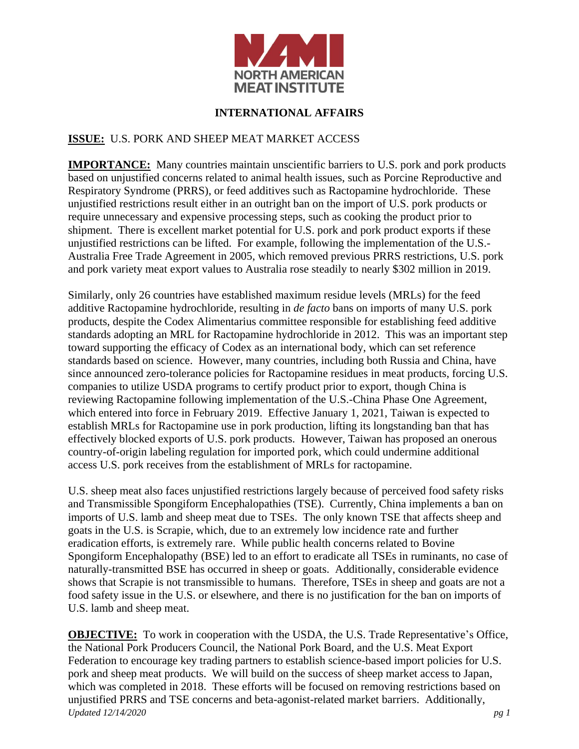

## **INTERNATIONAL AFFAIRS**

## **ISSUE:** U.S. PORK AND SHEEP MEAT MARKET ACCESS

**IMPORTANCE:** Many countries maintain unscientific barriers to U.S. pork and pork products based on unjustified concerns related to animal health issues, such as Porcine Reproductive and Respiratory Syndrome (PRRS), or feed additives such as Ractopamine hydrochloride. These unjustified restrictions result either in an outright ban on the import of U.S. pork products or require unnecessary and expensive processing steps, such as cooking the product prior to shipment. There is excellent market potential for U.S. pork and pork product exports if these unjustified restrictions can be lifted. For example, following the implementation of the U.S.- Australia Free Trade Agreement in 2005, which removed previous PRRS restrictions, U.S. pork and pork variety meat export values to Australia rose steadily to nearly \$302 million in 2019.

Similarly, only 26 countries have established maximum residue levels (MRLs) for the feed additive Ractopamine hydrochloride, resulting in *de facto* bans on imports of many U.S. pork products, despite the Codex Alimentarius committee responsible for establishing feed additive standards adopting an MRL for Ractopamine hydrochloride in 2012. This was an important step toward supporting the efficacy of Codex as an international body, which can set reference standards based on science. However, many countries, including both Russia and China, have since announced zero-tolerance policies for Ractopamine residues in meat products, forcing U.S. companies to utilize USDA programs to certify product prior to export, though China is reviewing Ractopamine following implementation of the U.S.-China Phase One Agreement, which entered into force in February 2019. Effective January 1, 2021, Taiwan is expected to establish MRLs for Ractopamine use in pork production, lifting its longstanding ban that has effectively blocked exports of U.S. pork products. However, Taiwan has proposed an onerous country-of-origin labeling regulation for imported pork, which could undermine additional access U.S. pork receives from the establishment of MRLs for ractopamine.

U.S. sheep meat also faces unjustified restrictions largely because of perceived food safety risks and Transmissible Spongiform Encephalopathies (TSE). Currently, China implements a ban on imports of U.S. lamb and sheep meat due to TSEs. The only known TSE that affects sheep and goats in the U.S. is Scrapie, which, due to an extremely low incidence rate and further eradication efforts, is extremely rare. While public health concerns related to Bovine Spongiform Encephalopathy (BSE) led to an effort to eradicate all TSEs in ruminants, no case of naturally-transmitted BSE has occurred in sheep or goats. Additionally, considerable evidence shows that Scrapie is not transmissible to humans. Therefore, TSEs in sheep and goats are not a food safety issue in the U.S. or elsewhere, and there is no justification for the ban on imports of U.S. lamb and sheep meat.

*Updated 12/14/2020 pg 1* **OBJECTIVE:** To work in cooperation with the USDA, the U.S. Trade Representative's Office, the National Pork Producers Council, the National Pork Board, and the U.S. Meat Export Federation to encourage key trading partners to establish science-based import policies for U.S. pork and sheep meat products. We will build on the success of sheep market access to Japan, which was completed in 2018. These efforts will be focused on removing restrictions based on unjustified PRRS and TSE concerns and beta-agonist-related market barriers. Additionally,